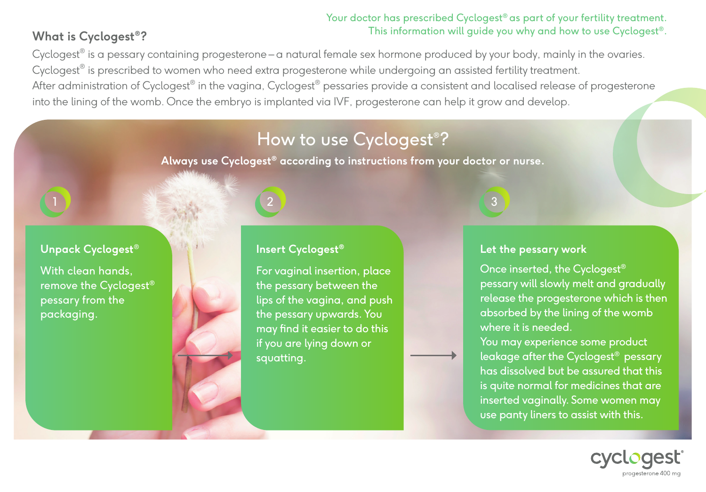### Your doctor has prescribed Cyclogest<sup>®</sup> as part of your fertility treatment. This information will guide you why and how to use Cyclogest®.

## **What is Cyclogest®?**

Cyclogest<sup>®</sup> is a pessary containing progesterone – a natural female sex hormone produced by your body, mainly in the ovaries. Cyclogest® is prescribed to women who need extra progesterone while undergoing an assisted fertility treatment. After administration of Cyclogest® in the vagina, Cyclogest® pessaries provide a consistent and localised release of progesterone into the lining of the womb. Once the embryo is implanted via IVF, progesterone can help it grow and develop.

## How to use Cyclogest® ?

**Always use Cyclogest® according to instructions from your doctor or nurse.**

### **Unpack Cyclogest**®

1

With clean hands, remove the Cyclogest® pessary from the packaging.

# **Insert Cyclogest®**

2

For vaginal insertion, place the pessary between the lips of the vagina, and push the pessary upwards. You may find it easier to do this if you are lying down or squatting.

3

#### **Let the pessary work**

Once inserted, the Cyclogest® pessary will slowly melt and gradually release the progesterone which is then absorbed by the lining of the womb where it is needed.

You may experience some product leakage after the Cyclogest® pessary has dissolved but be assured that this is quite normal for medicines that are inserted vaginally. Some women may use panty liners to assist with this.